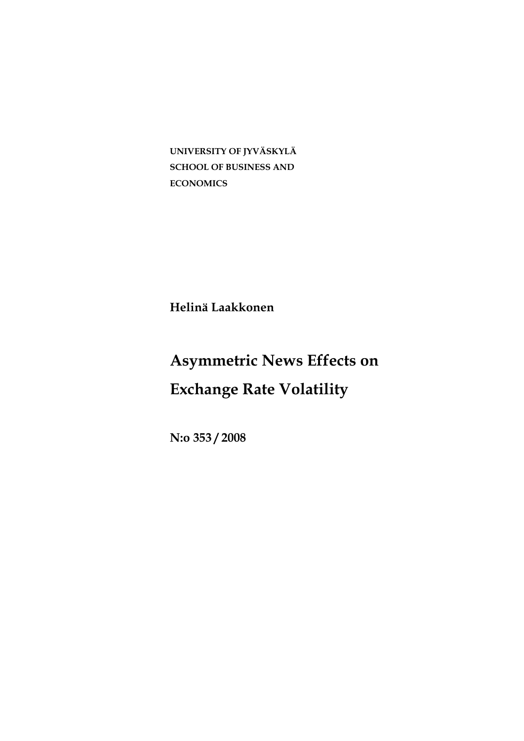**UNIVERSITY OF JYVÄSKYLÄ SCHOOL OF BUSINESS AND ECONOMICS** 

**Helinä Laakkonen** 

# **Asymmetric News Effects on Exchange Rate Volatility**

**N:o 353 / 2008**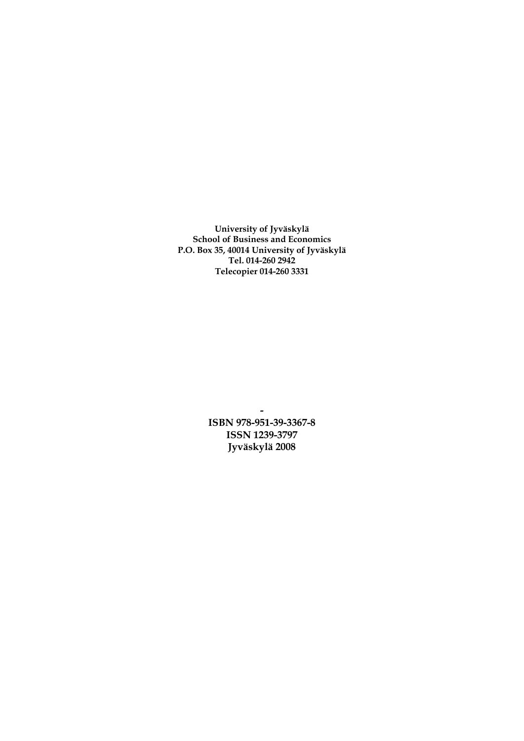**University of Jyväskylä School of Business and Economics P.O. Box 35, 40014 University of Jyväskylä Tel. 014-260 2942 Telecopier 014-260 3331** 

> **ISBN 978-951-39-3367-8 ISSN 1239-3797 Jyväskylä 2008**

**-**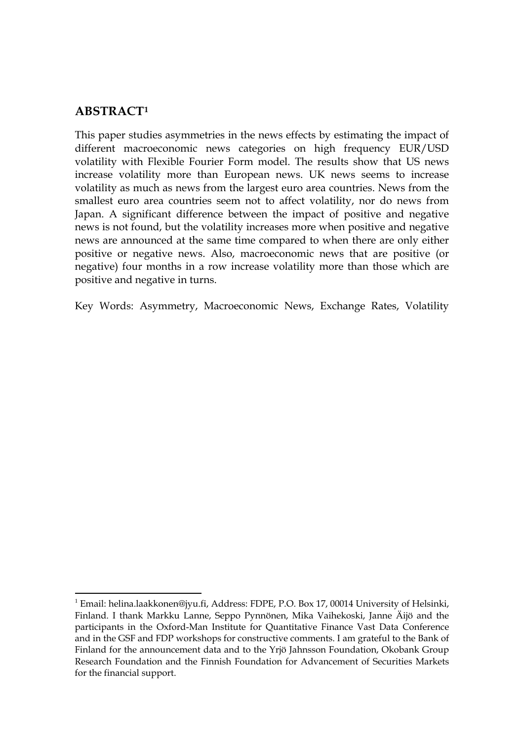## **ABSTRACT[1](#page-2-0)**

<u>.</u>

This paper studies asymmetries in the news effects by estimating the impact of different macroeconomic news categories on high frequency EUR/USD volatility with Flexible Fourier Form model. The results show that US news increase volatility more than European news. UK news seems to increase volatility as much as news from the largest euro area countries. News from the smallest euro area countries seem not to affect volatility, nor do news from Japan. A significant difference between the impact of positive and negative news is not found, but the volatility increases more when positive and negative news are announced at the same time compared to when there are only either positive or negative news. Also, macroeconomic news that are positive (or negative) four months in a row increase volatility more than those which are positive and negative in turns.

Key Words: Asymmetry, Macroeconomic News, Exchange Rates, Volatility

<span id="page-2-0"></span><sup>&</sup>lt;sup>1</sup> Email: helina.laakkonen@jyu.fi, Address: FDPE, P.O. Box 17, 00014 University of Helsinki, Finland. I thank Markku Lanne, Seppo Pynnönen, Mika Vaihekoski, Janne Äijö and the participants in the Oxford-Man Institute for Quantitative Finance Vast Data Conference and in the GSF and FDP workshops for constructive comments. I am grateful to the Bank of Finland for the announcement data and to the Yrjö Jahnsson Foundation, Okobank Group Research Foundation and the Finnish Foundation for Advancement of Securities Markets for the financial support.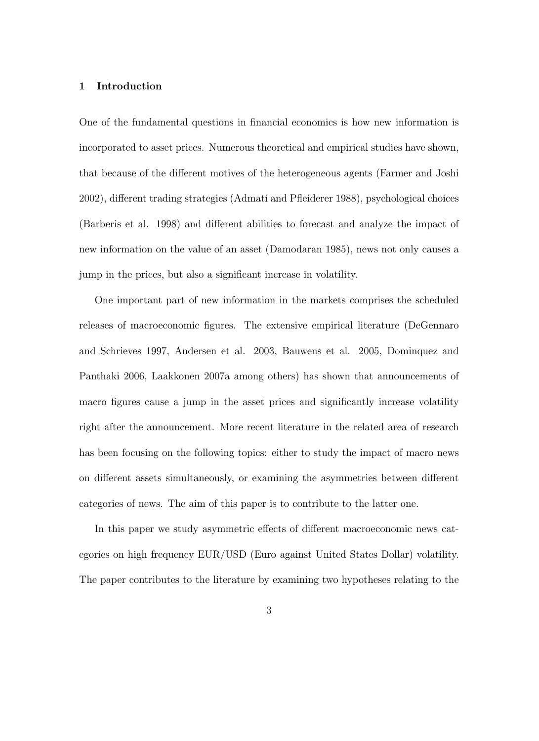### 1 Introduction

One of the fundamental questions in nancial economics is how new information is incorporated to asset prices. Numerous theoretical and empirical studies have shown, that because of the different motives of the heterogeneous agents (Farmer and Joshi 2002), different trading strategies (Admati and Pfleiderer 1988), psychological choices (Barberis et al. 1998) and different abilities to forecast and analyze the impact of new information on the value of an asset (Damodaran 1985), news not only causes a jump in the prices, but also a signicant increase in volatility.

One important part of new information in the markets comprises the scheduled releases of macroeconomic figures. The extensive empirical literature (DeGennaro and Schrieves 1997, Andersen et al. 2003, Bauwens et al. 2005, Dominquez and Panthaki 2006, Laakkonen 2007a among others) has shown that announcements of macro figures cause a jump in the asset prices and significantly increase volatility right after the announcement. More recent literature in the related area of research has been focusing on the following topics: either to study the impact of macro news on different assets simultaneously, or examining the asymmetries between different categories of news. The aim of this paper is to contribute to the latter one.

In this paper we study asymmetric effects of different macroeconomic news categories on high frequency EUR/USD (Euro against United States Dollar) volatility. The paper contributes to the literature by examining two hypotheses relating to the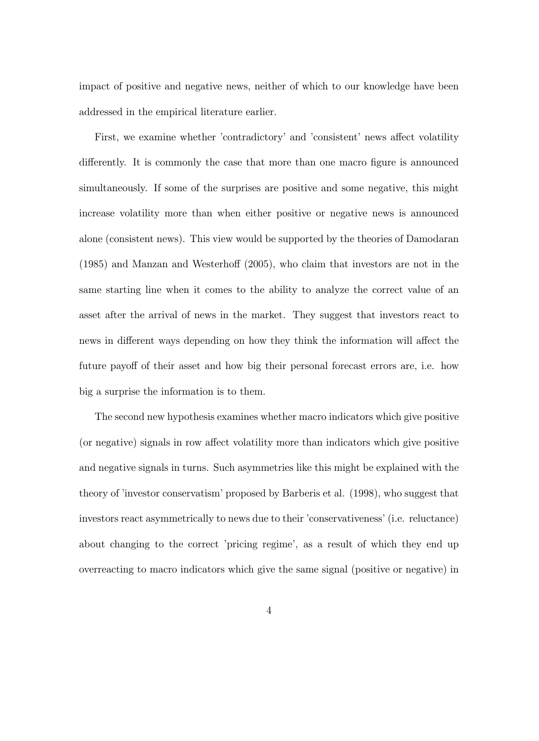impact of positive and negative news, neither of which to our knowledge have been addressed in the empirical literature earlier.

First, we examine whether 'contradictory' and 'consistent' news affect volatility differently. It is commonly the case that more than one macro figure is announced simultaneously. If some of the surprises are positive and some negative, this might increase volatility more than when either positive or negative news is announced alone (consistent news). This view would be supported by the theories of Damodaran  $(1985)$  and Manzan and Westerhoff  $(2005)$ , who claim that investors are not in the same starting line when it comes to the ability to analyze the correct value of an asset after the arrival of news in the market. They suggest that investors react to news in different ways depending on how they think the information will affect the future payoff of their asset and how big their personal forecast errors are, i.e. how big a surprise the information is to them.

The second new hypothesis examines whether macro indicators which give positive (or negative) signals in row affect volatility more than indicators which give positive and negative signals in turns. Such asymmetries like this might be explained with the theory of 'investor conservatism' proposed by Barberis et al. (1998), who suggest that investors react asymmetrically to news due to their 'conservativeness' (i.e. reluctance) about changing to the correct 'pricing regime', as a result of which they end up overreacting to macro indicators which give the same signal (positive or negative) in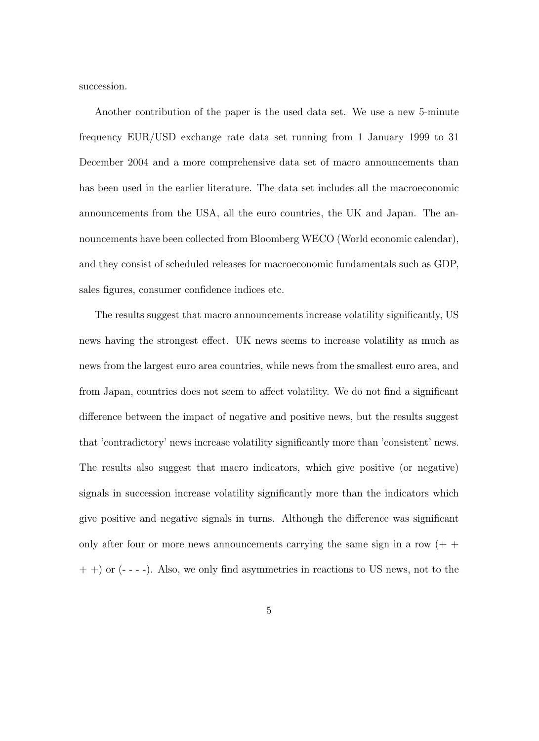succession.

Another contribution of the paper is the used data set. We use a new 5-minute frequency EUR/USD exchange rate data set running from 1 January 1999 to 31 December 2004 and a more comprehensive data set of macro announcements than has been used in the earlier literature. The data set includes all the macroeconomic announcements from the USA, all the euro countries, the UK and Japan. The announcements have been collected from Bloomberg WECO (World economic calendar), and they consist of scheduled releases for macroeconomic fundamentals such as GDP, sales figures, consumer confidence indices etc.

The results suggest that macro announcements increase volatility signicantly, US news having the strongest effect. UK news seems to increase volatility as much as news from the largest euro area countries, while news from the smallest euro area, and from Japan, countries does not seem to affect volatility. We do not find a significant difference between the impact of negative and positive news, but the results suggest that 'contradictory' news increase volatility signicantly more than 'consistent' news. The results also suggest that macro indicators, which give positive (or negative) signals in succession increase volatility significantly more than the indicators which give positive and negative signals in turns. Although the difference was significant only after four or more news announcements carrying the same sign in a row  $(+)$  $(+)$  or  $(- - -)$ . Also, we only find asymmetries in reactions to US news, not to the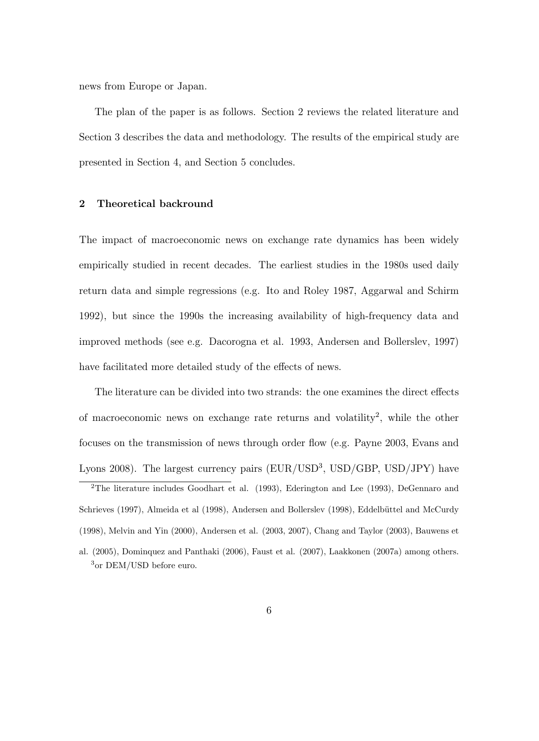news from Europe or Japan.

The plan of the paper is as follows. Section 2 reviews the related literature and Section 3 describes the data and methodology. The results of the empirical study are presented in Section 4, and Section 5 concludes.

### 2 Theoretical backround

The impact of macroeconomic news on exchange rate dynamics has been widely empirically studied in recent decades. The earliest studies in the 1980s used daily return data and simple regressions (e.g. Ito and Roley 1987, Aggarwal and Schirm 1992), but since the 1990s the increasing availability of high-frequency data and improved methods (see e.g. Dacorogna et al. 1993, Andersen and Bollerslev, 1997) have facilitated more detailed study of the effects of news.

The literature can be divided into two strands: the one examines the direct effects of macroeconomic news on exchange rate returns and volatility<sup>2</sup>, while the other focuses on the transmission of news through order flow (e.g. Payne 2003, Evans and Lyons 2008). The largest currency pairs  $(EUR/USD^3, USD/GBP, USD/JPY)$  have

<sup>2</sup>The literature includes Goodhart et al. (1993), Ederington and Lee (1993), DeGennaro and Schrieves (1997), Almeida et al (1998), Andersen and Bollerslev (1998), Eddelbüttel and McCurdy (1998), Melvin and Yin (2000), Andersen et al. (2003, 2007), Chang and Taylor (2003), Bauwens et

al. (2005), Dominquez and Panthaki (2006), Faust et al. (2007), Laakkonen (2007a) among others. <sup>3</sup>or DEM/USD before euro.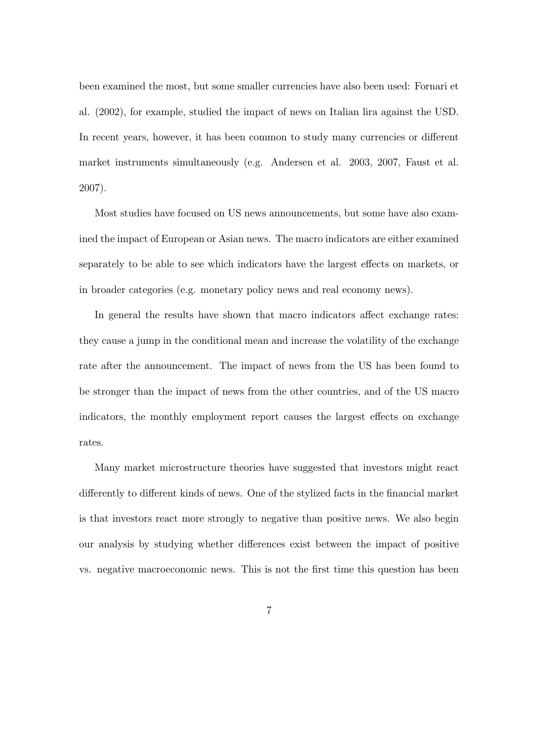been examined the most, but some smaller currencies have also been used: Fornari et al. (2002), for example, studied the impact of news on Italian lira against the USD. In recent years, however, it has been common to study many currencies or different market instruments simultaneously (e.g. Andersen et al. 2003, 2007, Faust et al. 2007).

Most studies have focused on US news announcements, but some have also examined the impact of European or Asian news. The macro indicators are either examined separately to be able to see which indicators have the largest effects on markets, or in broader categories (e.g. monetary policy news and real economy news).

In general the results have shown that macro indicators affect exchange rates: they cause a jump in the conditional mean and increase the volatility of the exchange rate after the announcement. The impact of news from the US has been found to be stronger than the impact of news from the other countries, and of the US macro indicators, the monthly employment report causes the largest effects on exchange rates.

Many market microstructure theories have suggested that investors might react differently to different kinds of news. One of the stylized facts in the financial market is that investors react more strongly to negative than positive news. We also begin our analysis by studying whether differences exist between the impact of positive vs. negative macroeconomic news. This is not the first time this question has been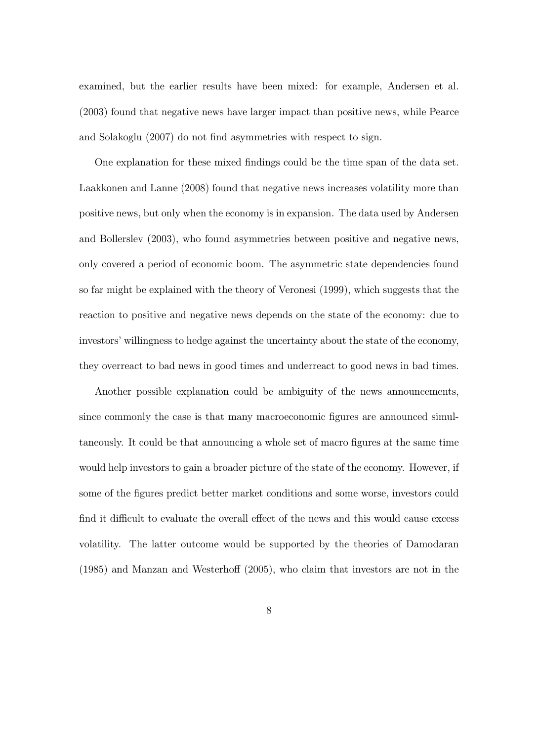examined, but the earlier results have been mixed: for example, Andersen et al. (2003) found that negative news have larger impact than positive news, while Pearce and Solakoglu (2007) do not find asymmetries with respect to sign.

One explanation for these mixed findings could be the time span of the data set. Laakkonen and Lanne (2008) found that negative news increases volatility more than positive news, but only when the economy is in expansion. The data used by Andersen and Bollerslev (2003), who found asymmetries between positive and negative news, only covered a period of economic boom. The asymmetric state dependencies found so far might be explained with the theory of Veronesi (1999), which suggests that the reaction to positive and negative news depends on the state of the economy: due to investors' willingness to hedge against the uncertainty about the state of the economy, they overreact to bad news in good times and underreact to good news in bad times.

Another possible explanation could be ambiguity of the news announcements, since commonly the case is that many macroeconomic figures are announced simultaneously. It could be that announcing a whole set of macro gures at the same time would help investors to gain a broader picture of the state of the economy. However, if some of the figures predict better market conditions and some worse, investors could find it difficult to evaluate the overall effect of the news and this would cause excess volatility. The latter outcome would be supported by the theories of Damodaran  $(1985)$  and Manzan and Westerhoff  $(2005)$ , who claim that investors are not in the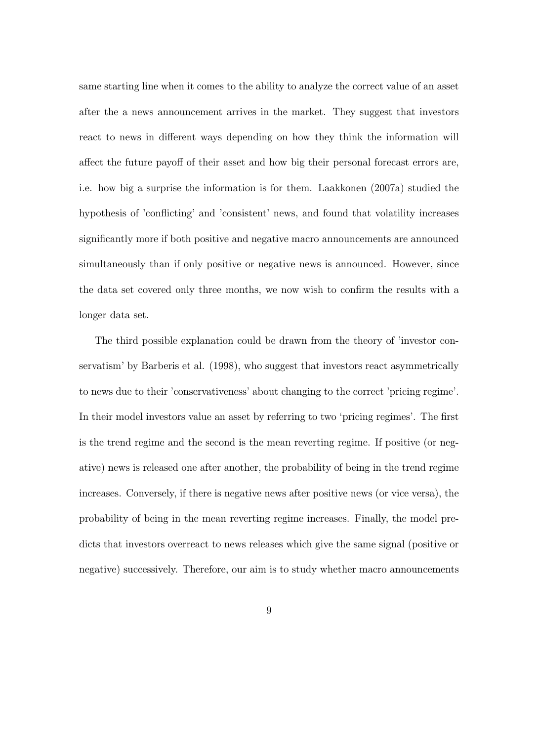same starting line when it comes to the ability to analyze the correct value of an asset after the a news announcement arrives in the market. They suggest that investors react to news in different ways depending on how they think the information will affect the future payoff of their asset and how big their personal forecast errors are, i.e. how big a surprise the information is for them. Laakkonen (2007a) studied the hypothesis of 'con
icting' and 'consistent' news, and found that volatility increases signicantly more if both positive and negative macro announcements are announced simultaneously than if only positive or negative news is announced. However, since the data set covered only three months, we now wish to confirm the results with a longer data set.

The third possible explanation could be drawn from the theory of 'investor conservatism' by Barberis et al. (1998), who suggest that investors react asymmetrically to news due to their 'conservativeness' about changing to the correct 'pricing regime'. In their model investors value an asset by referring to two 'pricing regimes'. The first is the trend regime and the second is the mean reverting regime. If positive (or negative) news is released one after another, the probability of being in the trend regime increases. Conversely, if there is negative news after positive news (or vice versa), the probability of being in the mean reverting regime increases. Finally, the model predicts that investors overreact to news releases which give the same signal (positive or negative) successively. Therefore, our aim is to study whether macro announcements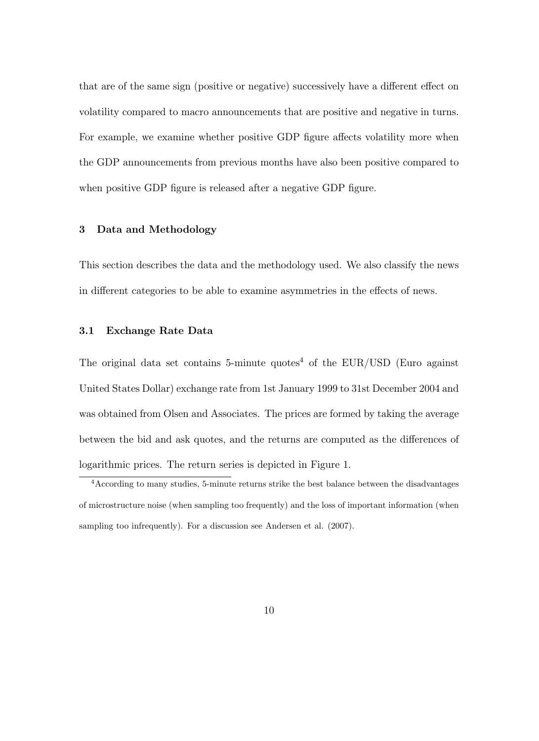that are of the same sign (positive or negative) successively have a different effect on volatility compared to macro announcements that are positive and negative in turns. For example, we examine whether positive GDP figure affects volatility more when the GDP announcements from previous months have also been positive compared to when positive GDP figure is released after a negative GDP figure.

### 3 Data and Methodology

This section describes the data and the methodology used. We also classify the news in different categories to be able to examine asymmetries in the effects of news.

### 3.1 Exchange Rate Data

The original data set contains 5-minute quotes<sup>4</sup> of the EUR/USD (Euro against) United States Dollar) exchange rate from 1st January 1999 to 31st December 2004 and was obtained from Olsen and Associates. The prices are formed by taking the average between the bid and ask quotes, and the returns are computed as the differences of logarithmic prices. The return series is depicted in Figure 1.

<sup>4</sup>According to many studies, 5-minute returns strike the best balance between the disadvantages of microstructure noise (when sampling too frequently) and the loss of important information (when sampling too infrequently). For a discussion see Andersen et al. (2007).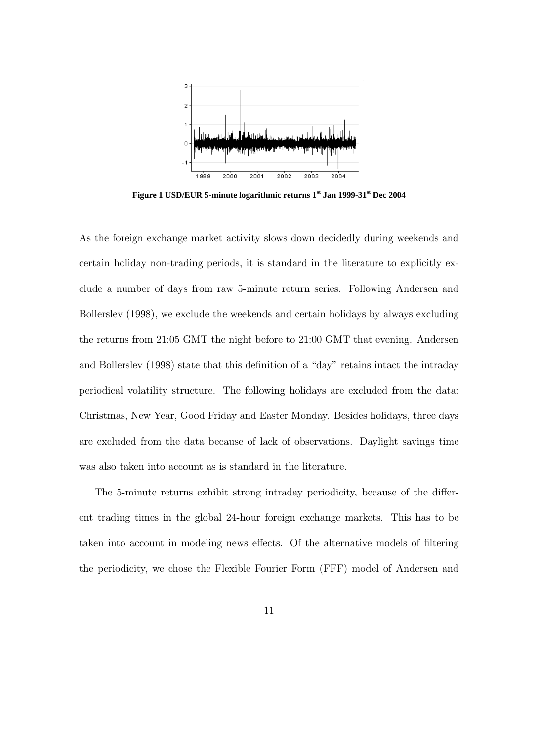

**Figure 1 USD/EUR 5-minute logarithmic returns 1st Jan 1999-31st Dec 2004**

As the foreign exchange market activity slows down decidedly during weekends and certain holiday non-trading periods, it is standard in the literature to explicitly exclude a number of days from raw 5-minute return series. Following Andersen and Bollerslev (1998), we exclude the weekends and certain holidays by always excluding the returns from 21:05 GMT the night before to 21:00 GMT that evening. Andersen and Bollerslev  $(1998)$  state that this definition of a "day" retains intact the intraday periodical volatility structure. The following holidays are excluded from the data: Christmas, New Year, Good Friday and Easter Monday. Besides holidays, three days are excluded from the data because of lack of observations. Daylight savings time was also taken into account as is standard in the literature.

The 5-minute returns exhibit strong intraday periodicity, because of the different trading times in the global 24-hour foreign exchange markets. This has to be taken into account in modeling news effects. Of the alternative models of filtering the periodicity, we chose the Flexible Fourier Form (FFF) model of Andersen and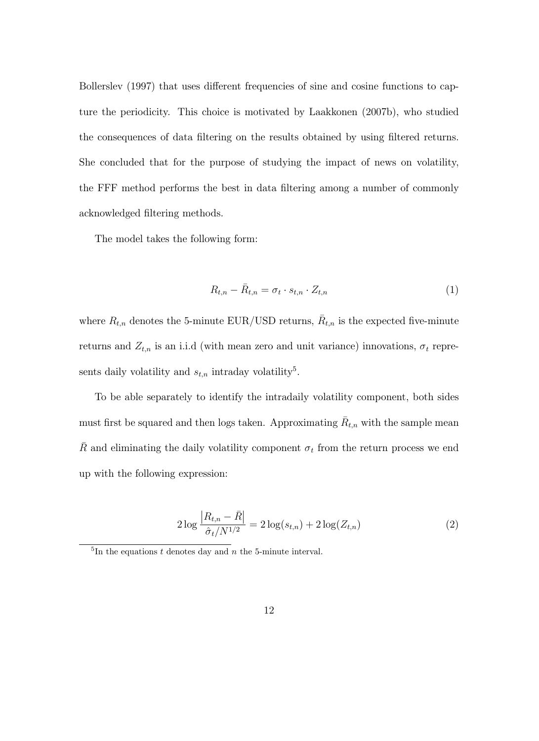Bollerslev (1997) that uses different frequencies of sine and cosine functions to capture the periodicity. This choice is motivated by Laakkonen (2007b), who studied the consequences of data ltering on the results obtained by using ltered returns. She concluded that for the purpose of studying the impact of news on volatility, the FFF method performs the best in data filtering among a number of commonly acknowledged ltering methods.

The model takes the following form:

$$
R_{t,n} - \bar{R}_{t,n} = \sigma_t \cdot s_{t,n} \cdot Z_{t,n} \tag{1}
$$

where  $R_{t,n}$  denotes the 5-minute EUR/USD returns,  $\bar{R}_{t,n}$  is the expected five-minute returns and  $Z_{t,n}$  is an i.i.d (with mean zero and unit variance) innovations,  $\sigma_t$  represents daily volatility and  $s_{t,n}$  intraday volatility<sup>5</sup>.

To be able separately to identify the intradaily volatility component, both sides must first be squared and then logs taken. Approximating  $\bar{R}_{t,n}$  with the sample mean  $\bar{R}$  and eliminating the daily volatility component  $\sigma_t$  from the return process we end up with the following expression:

$$
2\log\frac{|R_{t,n} - \bar{R}|}{\hat{\sigma}_t/N^{1/2}} = 2\log(s_{t,n}) + 2\log(Z_{t,n})
$$
\n(2)

 ${}^{5}$ In the equations t denotes day and n the 5-minute interval.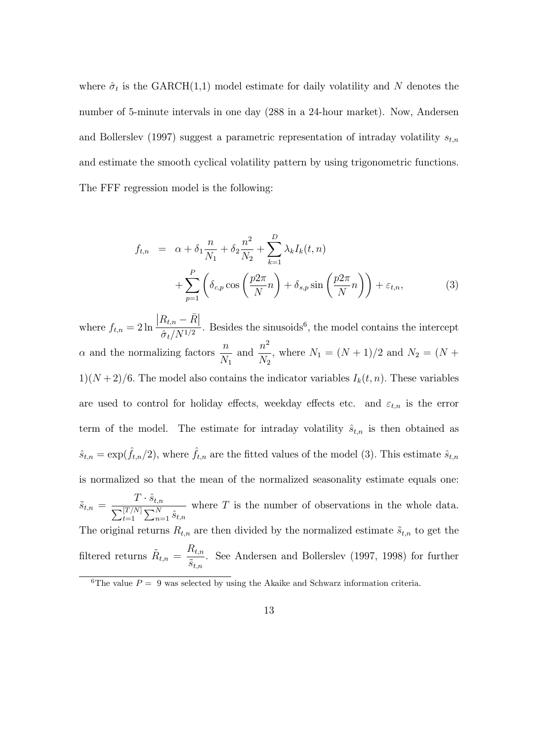where  $\hat{\sigma}_t$  is the GARCH(1,1) model estimate for daily volatility and N denotes the number of 5-minute intervals in one day (288 in a 24-hour market). Now, Andersen and Bollerslev (1997) suggest a parametric representation of intraday volatility  $s_{t,n}$ and estimate the smooth cyclical volatility pattern by using trigonometric functions. The FFF regression model is the following:

$$
f_{t,n} = \alpha + \delta_1 \frac{n}{N_1} + \delta_2 \frac{n^2}{N_2} + \sum_{k=1}^{D} \lambda_k I_k(t,n)
$$
  
+ 
$$
\sum_{p=1}^{P} \left( \delta_{c,p} \cos\left(\frac{p2\pi}{N}n\right) + \delta_{s,p} \sin\left(\frac{p2\pi}{N}n\right) \right) + \varepsilon_{t,n},
$$
 (3)

where  $f_{t,n} = 2 \ln \frac{t}{t}$  $\left|R_{t,n}-\bar{R}\right|$  $\hat{\sigma}_t/N^{1/2}$ . Besides the sinusoids<sup>6</sup>, the model contains the intercept  $\alpha$  and the normalizing factors  $\frac{n}{\gamma}$  $N_1$ and  $\frac{n^2}{\lambda}$  $N_{2}$ , where  $N_1 = (N + 1)/2$  and  $N_2 = (N + 1)/2$  $1\left(N+2\right)/6$ . The model also contains the indicator variables  $I_k(t, n)$ . These variables are used to control for holiday effects, weekday effects etc. and  $\varepsilon_{t,n}$  is the error term of the model. The estimate for intraday volatility  $\hat{s}_{t,n}$  is then obtained as  $\hat{s}_{t,n} = \exp(\hat{f}_{t,n}/2)$ , where  $\hat{f}_{t,n}$  are the fitted values of the model (3). This estimate  $\hat{s}_{t,n}$ is normalized so that the mean of the normalized seasonality estimate equals one:  $\tilde{s}_{t,n} = \frac{T \cdot \hat{s}_{t,n}}{\sum_{l} [T/N] \sum_{l} N}$  $\sum_{t=1}^{[T/N]} \sum_{n=1}^{N} \hat{s}_{t,n}$ where  $T$  is the number of observations in the whole data. The original returns  $R_{t,n}$  are then divided by the normalized estimate  $\tilde{s}_{t,n}$  to get the filtered returns  $\tilde{R}_{t,n} =$  $R_{t,n}$  $\tilde{s}_{t,n}$ . See Andersen and Bollerslev (1997, 1998) for further

<sup>&</sup>lt;sup>6</sup>The value  $P = 9$  was selected by using the Akaike and Schwarz information criteria.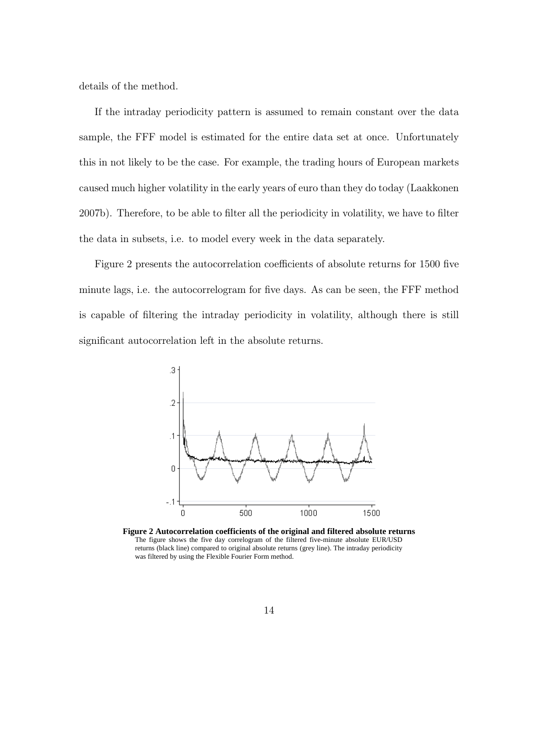details of the method.

If the intraday periodicity pattern is assumed to remain constant over the data sample, the FFF model is estimated for the entire data set at once. Unfortunately this in not likely to be the case. For example, the trading hours of European markets caused much higher volatility in the early years of euro than they do today (Laakkonen 2007b). Therefore, to be able to filter all the periodicity in volatility, we have to filter the data in subsets, i.e. to model every week in the data separately.

Figure 2 presents the autocorrelation coefficients of absolute returns for 1500 five minute lags, i.e. the autocorrelogram for five days. As can be seen, the FFF method is capable of ltering the intraday periodicity in volatility, although there is still significant autocorrelation left in the absolute returns.



**Figure 2 Autocorrelation coefficients of the original and filtered absolute returns** The figure shows the five day correlogram of the filtered five-minute absolute EUR/USD returns (black line) compared to original absolute returns (grey line). The intraday periodicity was filtered by using the Flexible Fourier Form method.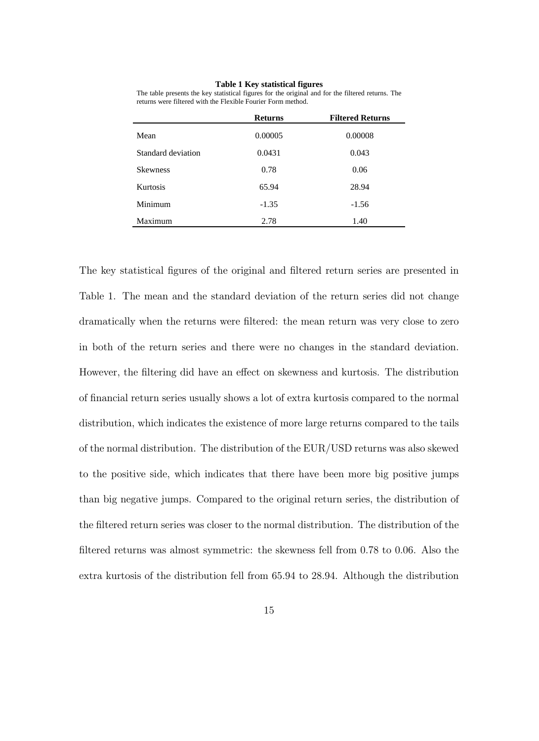### **Table 1 Key statistical figures**

| The table presents the key statistical figures for the original and for the filtered returns. The |  |
|---------------------------------------------------------------------------------------------------|--|
| returns were filtered with the Flexible Fourier Form method.                                      |  |

|                    | <b>Returns</b> | <b>Filtered Returns</b> |
|--------------------|----------------|-------------------------|
| Mean               | 0.00005        | 0.00008                 |
| Standard deviation | 0.0431         | 0.043                   |
| <b>Skewness</b>    | 0.78           | 0.06                    |
| <b>Kurtosis</b>    | 65.94          | 28.94                   |
| Minimum            | $-1.35$        | $-1.56$                 |
| Maximum            | 2.78           | 1.40                    |

The key statistical figures of the original and filtered return series are presented in Table 1. The mean and the standard deviation of the return series did not change dramatically when the returns were filtered: the mean return was very close to zero in both of the return series and there were no changes in the standard deviation. However, the filtering did have an effect on skewness and kurtosis. The distribution of nancial return series usually shows a lot of extra kurtosis compared to the normal distribution, which indicates the existence of more large returns compared to the tails of the normal distribution. The distribution of the EUR/USD returns was also skewed to the positive side, which indicates that there have been more big positive jumps than big negative jumps. Compared to the original return series, the distribution of the filtered return series was closer to the normal distribution. The distribution of the filtered returns was almost symmetric: the skewness fell from  $0.78$  to  $0.06$ . Also the extra kurtosis of the distribution fell from 65.94 to 28.94. Although the distribution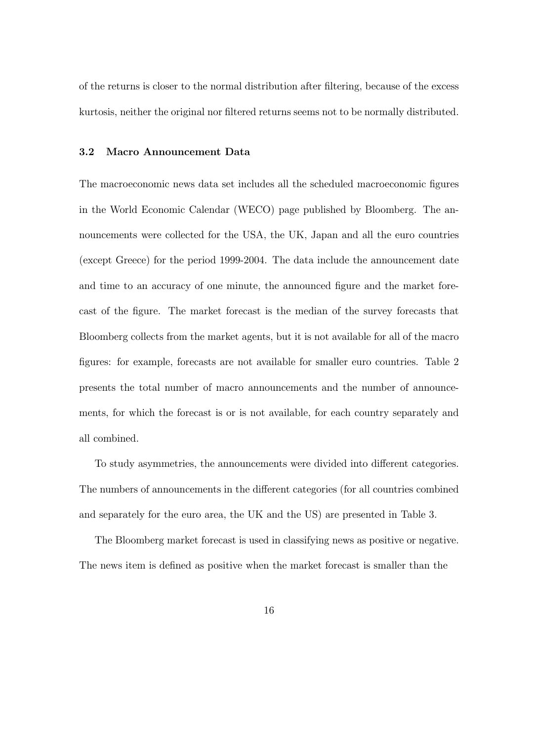of the returns is closer to the normal distribution after ltering, because of the excess kurtosis, neither the original nor filtered returns seems not to be normally distributed.

### 3.2 Macro Announcement Data

The macroeconomic news data set includes all the scheduled macroeconomic figures in the World Economic Calendar (WECO) page published by Bloomberg. The announcements were collected for the USA, the UK, Japan and all the euro countries (except Greece) for the period 1999-2004. The data include the announcement date and time to an accuracy of one minute, the announced figure and the market forecast of the figure. The market forecast is the median of the survey forecasts that Bloomberg collects from the market agents, but it is not available for all of the macro figures: for example, forecasts are not available for smaller euro countries. Table 2 presents the total number of macro announcements and the number of announcements, for which the forecast is or is not available, for each country separately and all combined.

To study asymmetries, the announcements were divided into different categories. The numbers of announcements in the different categories (for all countries combined and separately for the euro area, the UK and the US) are presented in Table 3.

The Bloomberg market forecast is used in classifying news as positive or negative. The news item is defined as positive when the market forecast is smaller than the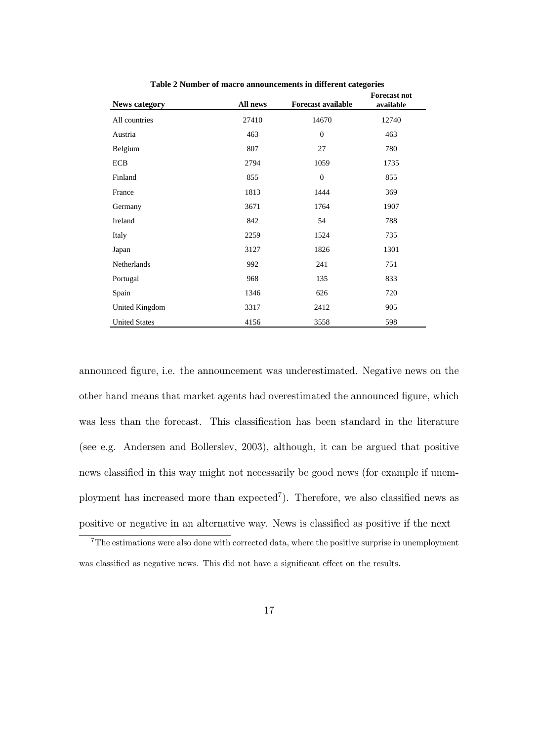| <b>News category</b> | All news | <b>Forecast available</b> | <b>Forecast not</b><br>available |
|----------------------|----------|---------------------------|----------------------------------|
| All countries        | 27410    | 14670                     | 12740                            |
| Austria              | 463      | $\boldsymbol{0}$          | 463                              |
| Belgium              | 807      | 27                        | 780                              |
| <b>ECB</b>           | 2794     | 1059                      | 1735                             |
| Finland              | 855      | $\boldsymbol{0}$          | 855                              |
| France               | 1813     | 1444                      | 369                              |
| Germany              | 3671     | 1764                      | 1907                             |
| Ireland              | 842      | 54                        | 788                              |
| Italy                | 2259     | 1524                      | 735                              |
| Japan                | 3127     | 1826                      | 1301                             |
| Netherlands          | 992      | 241                       | 751                              |
| Portugal             | 968      | 135                       | 833                              |
| Spain                | 1346     | 626                       | 720                              |
| United Kingdom       | 3317     | 2412                      | 905                              |
| <b>United States</b> | 4156     | 3558                      | 598                              |

**Table 2 Number of macro announcements in different categories**

announced gure, i.e. the announcement was underestimated. Negative news on the other hand means that market agents had overestimated the announced figure, which was less than the forecast. This classification has been standard in the literature (see e.g. Andersen and Bollerslev, 2003), although, it can be argued that positive news classied in this way might not necessarily be good news (for example if unemployment has increased more than expected<sup>7</sup>). Therefore, we also classified news as positive or negative in an alternative way. News is classied as positive if the next

 $7$ The estimations were also done with corrected data, where the positive surprise in unemployment was classified as negative news. This did not have a significant effect on the results.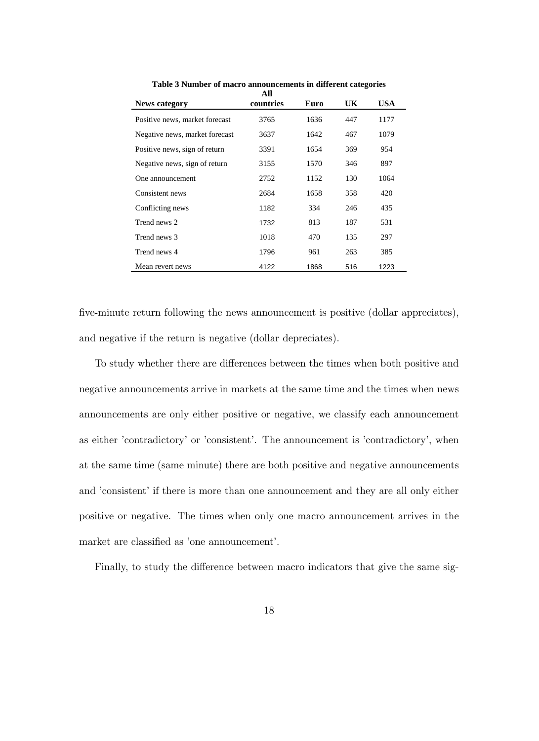| <b>News category</b>           | All<br>countries | Euro | UK  | USA  |
|--------------------------------|------------------|------|-----|------|
| Positive news, market forecast | 3765             | 1636 | 447 | 1177 |
| Negative news, market forecast | 3637             | 1642 | 467 | 1079 |
| Positive news, sign of return  | 3391             | 1654 | 369 | 954  |
| Negative news, sign of return  | 3155             | 1570 | 346 | 897  |
| One announcement               | 2752             | 1152 | 130 | 1064 |
| Consistent news                | 2684             | 1658 | 358 | 420  |
| Conflicting news               | 1182             | 334  | 246 | 435  |
| Trend news 2                   | 1732             | 813  | 187 | 531  |
| Trend news 3                   | 1018             | 470  | 135 | 297  |
| Trend news 4                   | 1796             | 961  | 263 | 385  |
| Mean revert news               | 4122             | 1868 | 516 | 1223 |

**Table 3 Number of macro announcements in different categories**

five-minute return following the news announcement is positive (dollar appreciates), and negative if the return is negative (dollar depreciates).

To study whether there are differences between the times when both positive and negative announcements arrive in markets at the same time and the times when news announcements are only either positive or negative, we classify each announcement as either 'contradictory' or 'consistent'. The announcement is 'contradictory', when at the same time (same minute) there are both positive and negative announcements and 'consistent' if there is more than one announcement and they are all only either positive or negative. The times when only one macro announcement arrives in the market are classified as 'one announcement'.

Finally, to study the difference between macro indicators that give the same sig-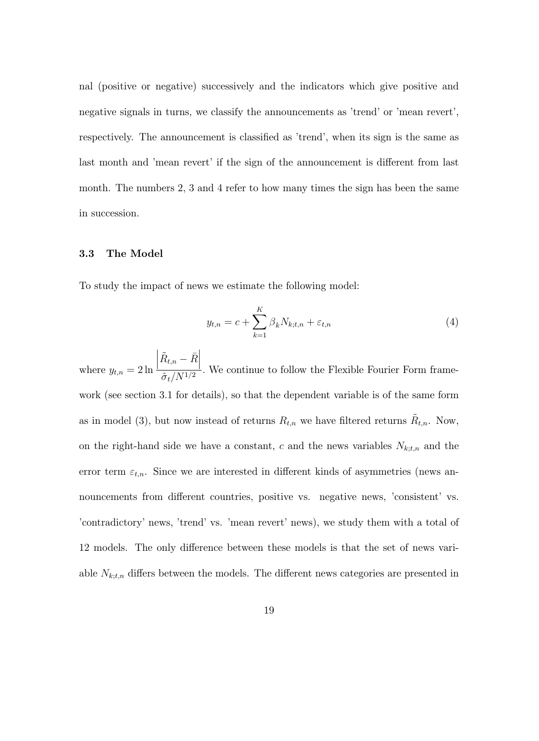nal (positive or negative) successively and the indicators which give positive and negative signals in turns, we classify the announcements as 'trend' or 'mean revert', respectively. The announcement is classied as 'trend', when its sign is the same as last month and 'mean revert' if the sign of the announcement is different from last month. The numbers 2, 3 and 4 refer to how many times the sign has been the same in succession.

### 3.3 The Model

To study the impact of news we estimate the following model:

$$
y_{t,n} = c + \sum_{k=1}^{K} \beta_k N_{k;t,n} + \varepsilon_{t,n}
$$
\n
$$
\tag{4}
$$

where  $y_{t,n} = 2 \ln \frac{t}{t}$  $\left| \tilde{R}_{t,n}-\bar{R}\right|$  $\frac{1}{\hat{\sigma}_t/N^{1/2}}$ . We continue to follow the Flexible Fourier Form framework (see section 3.1 for details), so that the dependent variable is of the same form as in model (3), but now instead of returns  $R_{t,n}$  we have filtered returns  $\tilde{R}_{t,n}$ . Now, on the right-hand side we have a constant,  $c$  and the news variables  $N_{k;t,n}$  and the error term  $\varepsilon_{t,n}$ . Since we are interested in different kinds of asymmetries (news announcements from different countries, positive vs. negative news, 'consistent' vs. 'contradictory' news, 'trend' vs. 'mean revert' news), we study them with a total of 12 models. The only difference between these models is that the set of news variable  $N_{k;t,n}$  differs between the models. The different news categories are presented in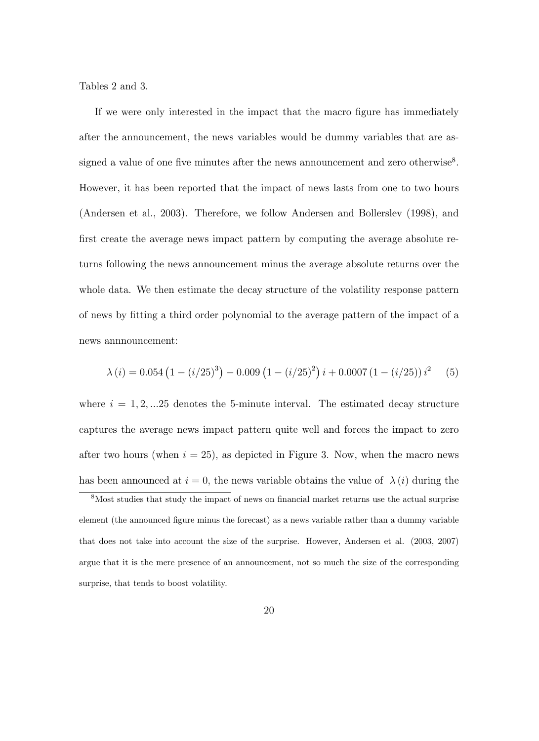Tables 2 and 3.

If we were only interested in the impact that the macro figure has immediately after the announcement, the news variables would be dummy variables that are assigned a value of one five minutes after the news announcement and zero otherwise<sup>8</sup>. However, it has been reported that the impact of news lasts from one to two hours (Andersen et al., 2003). Therefore, we follow Andersen and Bollerslev (1998), and first create the average news impact pattern by computing the average absolute returns following the news announcement minus the average absolute returns over the whole data. We then estimate the decay structure of the volatility response pattern of news by tting a third order polynomial to the average pattern of the impact of a news annnouncement:

$$
\lambda(i) = 0.054 \left(1 - \left(i/25\right)^3\right) - 0.009 \left(1 - \left(i/25\right)^2\right) i + 0.0007 \left(1 - \left(i/25\right)\right) i^2 \tag{5}
$$

where  $i = 1, 2, \ldots 25$  denotes the 5-minute interval. The estimated decay structure captures the average news impact pattern quite well and forces the impact to zero after two hours (when  $i = 25$ ), as depicted in Figure 3. Now, when the macro news has been announced at  $i = 0$ , the news variable obtains the value of  $\lambda(i)$  during the

 $8$ Most studies that study the impact of news on financial market returns use the actual surprise element (the announced gure minus the forecast) as a news variable rather than a dummy variable that does not take into account the size of the surprise. However, Andersen et al. (2003, 2007) argue that it is the mere presence of an announcement, not so much the size of the corresponding surprise, that tends to boost volatility.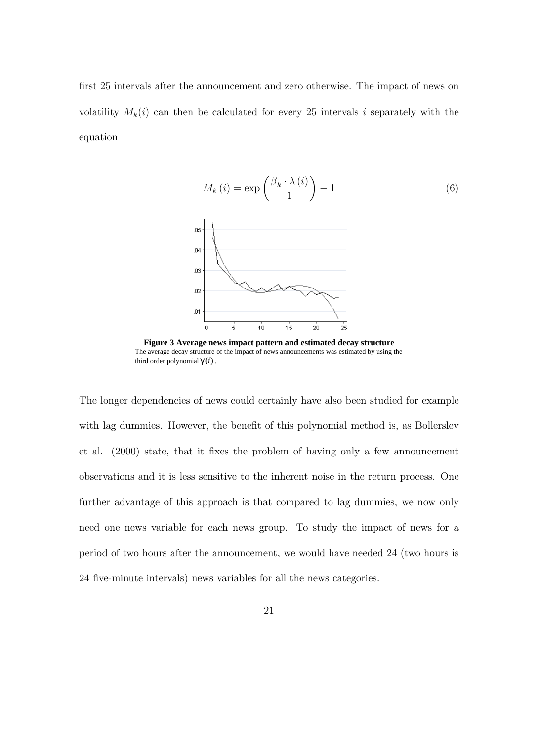first 25 intervals after the announcement and zero otherwise. The impact of news on volatility  $M_k(i)$  can then be calculated for every 25 intervals i separately with the equation



**Figure 3 Average news impact pattern and estimated decay structure** The average decay structure of the impact of news announcements was estimated by using the third order polynomial γ (*i*).

The longer dependencies of news could certainly have also been studied for example with lag dummies. However, the benefit of this polynomial method is, as Bollerslev et al. (2000) state, that it fixes the problem of having only a few announcement observations and it is less sensitive to the inherent noise in the return process. One further advantage of this approach is that compared to lag dummies, we now only need one news variable for each news group. To study the impact of news for a period of two hours after the announcement, we would have needed 24 (two hours is 24 five-minute intervals) news variables for all the news categories.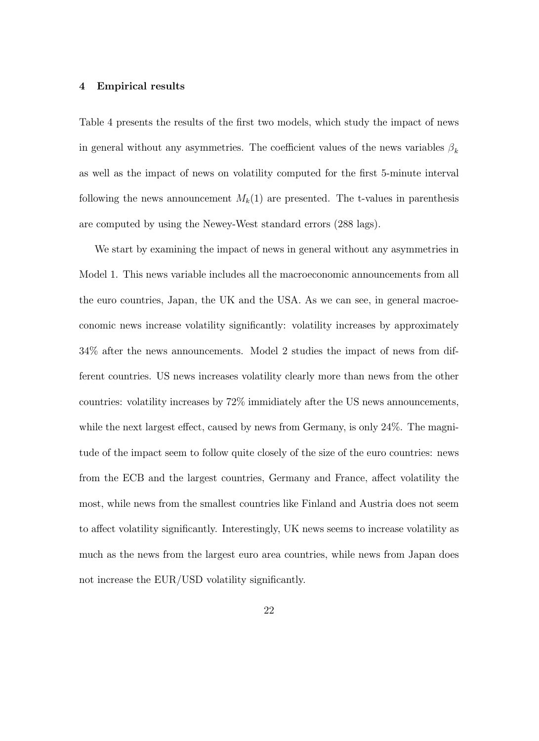### 4 Empirical results

Table 4 presents the results of the first two models, which study the impact of news in general without any asymmetries. The coefficient values of the news variables  $\beta_k$ as well as the impact of news on volatility computed for the first 5-minute interval following the news announcement  $M_k(1)$  are presented. The t-values in parenthesis are computed by using the Newey-West standard errors (288 lags).

We start by examining the impact of news in general without any asymmetries in Model 1. This news variable includes all the macroeconomic announcements from all the euro countries, Japan, the UK and the USA. As we can see, in general macroeconomic news increase volatility signicantly: volatility increases by approximately 34% after the news announcements. Model 2 studies the impact of news from different countries. US news increases volatility clearly more than news from the other countries: volatility increases by 72% immidiately after the US news announcements, while the next largest effect, caused by news from Germany, is only  $24\%$ . The magnitude of the impact seem to follow quite closely of the size of the euro countries: news from the ECB and the largest countries, Germany and France, affect volatility the most, while news from the smallest countries like Finland and Austria does not seem to affect volatility significantly. Interestingly, UK news seems to increase volatility as much as the news from the largest euro area countries, while news from Japan does not increase the EUR/USD volatility significantly.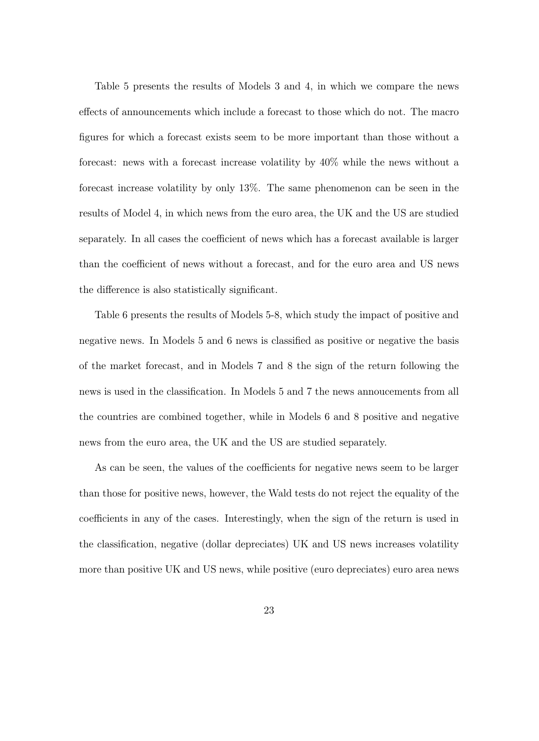Table 5 presents the results of Models 3 and 4, in which we compare the news effects of announcements which include a forecast to those which do not. The macro gures for which a forecast exists seem to be more important than those without a forecast: news with a forecast increase volatility by 40% while the news without a forecast increase volatility by only 13%. The same phenomenon can be seen in the results of Model 4, in which news from the euro area, the UK and the US are studied separately. In all cases the coefficient of news which has a forecast available is larger than the coefficient of news without a forecast, and for the euro area and US news the difference is also statistically significant.

Table 6 presents the results of Models 5-8, which study the impact of positive and negative news. In Models 5 and 6 news is classied as positive or negative the basis of the market forecast, and in Models 7 and 8 the sign of the return following the news is used in the classication. In Models 5 and 7 the news annoucements from all the countries are combined together, while in Models 6 and 8 positive and negative news from the euro area, the UK and the US are studied separately.

As can be seen, the values of the coefficients for negative news seem to be larger than those for positive news, however, the Wald tests do not reject the equality of the coefficients in any of the cases. Interestingly, when the sign of the return is used in the classication, negative (dollar depreciates) UK and US news increases volatility more than positive UK and US news, while positive (euro depreciates) euro area news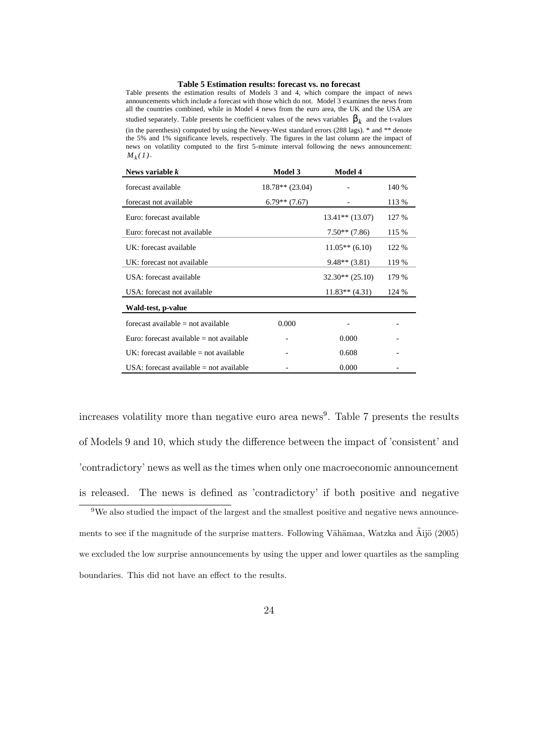### **Table 5 Estimation results: forecast vs. no forecast**

Table presents the estimation results of Models 3 and 4, which compare the impact of news announcements which include a forecast with those which do not. Model 3 examines the news from all the countries combined, while in Model 4 news from the euro area, the UK and the USA are studied separately. Table presents he coefficient values of the news variables  $\beta_k$  and the t-values (in the parenthesis) computed by using the Newey-West standard errors (288 lags). \* and \*\* denote the 5% and 1% significance levels, respectively. The figures in the last column are the impact of news on volatility computed to the first 5-minute interval following the news announcement:  $M_k(1)$ .

| News variable $k$                          | <b>Model 3</b>    | <b>Model 4</b>    |       |
|--------------------------------------------|-------------------|-------------------|-------|
| forecast available                         | $18.78**$ (23.04) |                   | 140 % |
| forecast not available                     | $6.79**$ (7.67)   |                   | 113 % |
| Euro: forecast available                   |                   | $13.41**$ (13.07) | 127 % |
| Euro: forecast not available               |                   | $7.50**$ $(7.86)$ | 115 % |
| UK: forecast available                     |                   | $11.05**$ (6.10)  | 122 % |
| UK: forecast not available                 |                   | $9.48**$ (3.81)   | 119 % |
| USA: forecast available                    |                   | $32.30** (25.10)$ | 179 % |
| USA: forecast not available                |                   | $11.83**$ (4.31)  | 124 % |
| Wald-test, p-value                         |                   |                   |       |
| forecast available $=$ not available       | 0.000             |                   |       |
| Euro: forecast available $=$ not available |                   | 0.000             |       |
| $UK:$ forecast available $=$ not available |                   | 0.608             |       |
| USA: forecast available $=$ not available  |                   | 0.000             |       |

increases volatility more than negative euro area news<sup>9</sup>. Table 7 presents the results of Models 9 and 10, which study the dierence between the impact of 'consistent' and 'contradictory' news as well as the times when only one macroeconomic announcement is released. The news is defined as 'contradictory' if both positive and negative

<sup>&</sup>lt;sup>9</sup>We also studied the impact of the largest and the smallest positive and negative news announcements to see if the magnitude of the surprise matters. Following Vahamaa, Watzka and Aijo (2005) we excluded the low surprise announcements by using the upper and lower quartiles as the sampling boundaries. This did not have an effect to the results.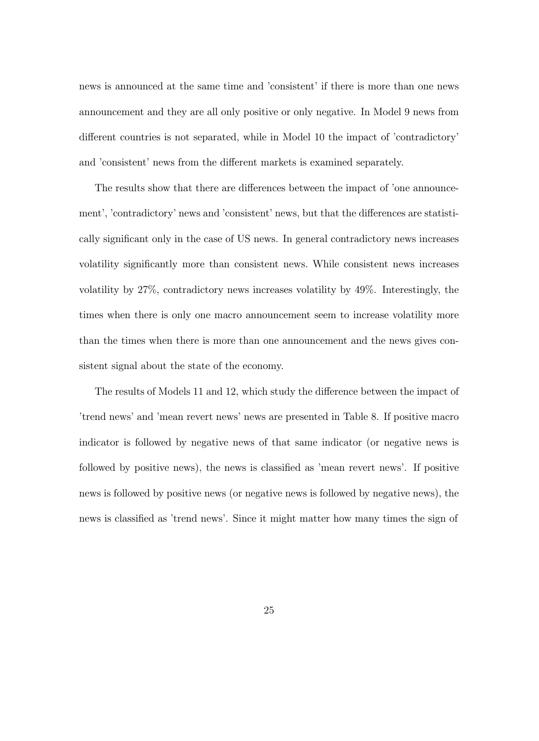news is announced at the same time and 'consistent' if there is more than one news announcement and they are all only positive or only negative. In Model 9 news from different countries is not separated, while in Model 10 the impact of 'contradictory' and 'consistent' news from the different markets is examined separately.

The results show that there are differences between the impact of 'one announcement', 'contradictory' news and 'consistent' news, but that the differences are statistically signicant only in the case of US news. In general contradictory news increases volatility signicantly more than consistent news. While consistent news increases volatility by 27%, contradictory news increases volatility by 49%. Interestingly, the times when there is only one macro announcement seem to increase volatility more than the times when there is more than one announcement and the news gives consistent signal about the state of the economy.

The results of Models 11 and 12, which study the difference between the impact of 'trend news' and 'mean revert news' news are presented in Table 8. If positive macro indicator is followed by negative news of that same indicator (or negative news is followed by positive news), the news is classied as 'mean revert news'. If positive news is followed by positive news (or negative news is followed by negative news), the news is classied as 'trend news'. Since it might matter how many times the sign of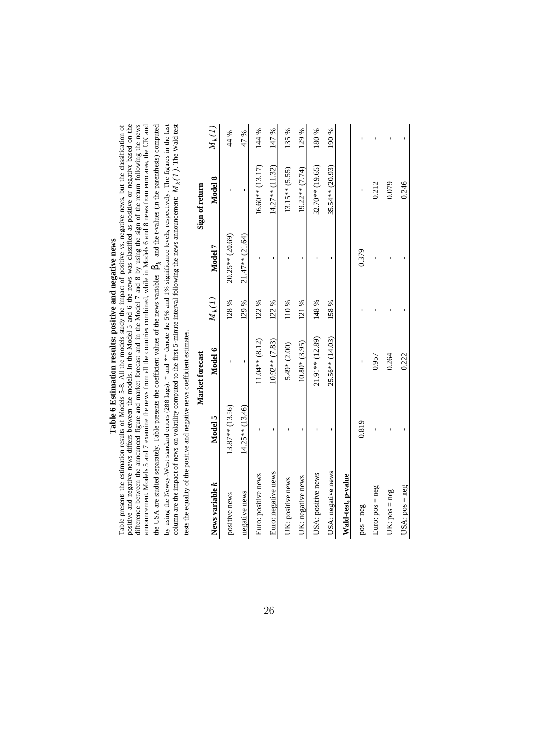# Table 6 Estimation results: positive and negative news **Table 6 Estimation results: positive and negative news**

| Table presents the estimation results of Models 5-8. All the models study the impact of positive vs. negative news, but the classification of<br>positive and negative news differs between the models. In the Model 5 and 6 the news was classified as positive or negative based on the<br>difference between the announced figure and market forecast and in the Model 7 and 8 by using the sign of the return following the news<br>announcement. Models 5 and 7 examine the news from all the countries combined, while in Models 6 and 8 news from euro area, the UK and |                   |                  |          |                     |                   |          |
|--------------------------------------------------------------------------------------------------------------------------------------------------------------------------------------------------------------------------------------------------------------------------------------------------------------------------------------------------------------------------------------------------------------------------------------------------------------------------------------------------------------------------------------------------------------------------------|-------------------|------------------|----------|---------------------|-------------------|----------|
| by using the Newey-West standard errors (288 lags). * and ** denote the 5% and 1% significance levels, respectively. The figures in the last<br>the USA are studied separately. Table presents the coefficient values of the news variables $\beta_k$ and the t-values (in the parenthesis) computed<br>column are the impact of news on volatility computed to the first 5-minute interval following the news announcement: $M_k(l)$ . The Wald test<br>tests the equality of the positive and negative news coefficient estimates.                                           |                   |                  |          |                     |                   |          |
|                                                                                                                                                                                                                                                                                                                                                                                                                                                                                                                                                                                |                   | Market forecast  |          |                     | Sign of return    |          |
| News variable k                                                                                                                                                                                                                                                                                                                                                                                                                                                                                                                                                                | Model 5           | Model 6          | $M_k(I)$ | Model 7             | Model 8           | $M_k(I)$ |
| positive news                                                                                                                                                                                                                                                                                                                                                                                                                                                                                                                                                                  | 13.87** (13.56)   |                  | 128%     | 20.25** (20.69)     |                   | 44 %     |
| negative news                                                                                                                                                                                                                                                                                                                                                                                                                                                                                                                                                                  | $14.25**$ (13.46) |                  | 129 %    | $21.47**$ $(21.64)$ |                   | 47 %     |
| Euro: positive news                                                                                                                                                                                                                                                                                                                                                                                                                                                                                                                                                            |                   | $11.04**$ (8.12) | 122%     |                     | $16.60**$ (13.17) | 144 %    |
| Euro: negative news                                                                                                                                                                                                                                                                                                                                                                                                                                                                                                                                                            |                   | $10.92**$ (7.83) | 122%     |                     | $14.27**$ (11.32) | 147 %    |
| UK: positive news                                                                                                                                                                                                                                                                                                                                                                                                                                                                                                                                                              |                   | $5.49*$ (2.00)   | 110%     |                     | $13.15**$ (5.55)  | 135%     |
| UK: negative news                                                                                                                                                                                                                                                                                                                                                                                                                                                                                                                                                              |                   | $10.80*(3.95)$   | 121 %    |                     | $19.22**$ (7.74)  | 129 %    |
| USA: positive news                                                                                                                                                                                                                                                                                                                                                                                                                                                                                                                                                             |                   | 21.91** (12.89)  | 148%     |                     | 32.70** (19.65)   | 180%     |
| USA: negative news                                                                                                                                                                                                                                                                                                                                                                                                                                                                                                                                                             |                   | 25.56** (14.03)  | 158%     |                     | 35.54** (20.93)   | 190 %    |
| Wald-test, p-value                                                                                                                                                                                                                                                                                                                                                                                                                                                                                                                                                             |                   |                  |          |                     |                   |          |
| $pos = neg$                                                                                                                                                                                                                                                                                                                                                                                                                                                                                                                                                                    | 0.819             |                  |          | 0.379               |                   |          |
| Euro: pos = neg                                                                                                                                                                                                                                                                                                                                                                                                                                                                                                                                                                |                   | 0.957            |          |                     | 0.212             |          |
| $UK: pos = neg$                                                                                                                                                                                                                                                                                                                                                                                                                                                                                                                                                                |                   | 0.264            |          |                     | 0.079             |          |
| $USA: pos = neg$                                                                                                                                                                                                                                                                                                                                                                                                                                                                                                                                                               |                   | 0.222            |          |                     | 0.246             |          |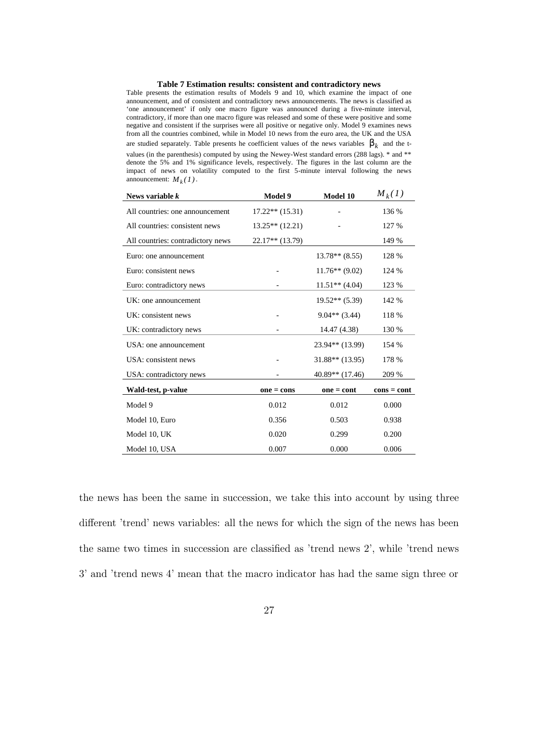### **Table 7 Estimation results: consistent and contradictory news**

Table presents the estimation results of Models 9 and 10, which examine the impact of one announcement, and of consistent and contradictory news announcements. The news is classified as 'one announcement' if only one macro figure was announced during a five-minute interval, contradictory, if more than one macro figure was released and some of these were positive and some negative and consistent if the surprises were all positive or negative only. Model 9 examines news from all the countries combined, while in Model 10 news from the euro area, the UK and the USA are studied separately. Table presents he coefficient values of the news variables  $\beta_k$  and the tvalues (in the parenthesis) computed by using the Newey-West standard errors (288 lags). \* and \*\* denote the 5% and 1% significance levels, respectively. The figures in the last column are the impact of news on volatility computed to the first 5-minute interval following the news announcement:  $M_k(1)$ .

| News variable $k$                 | Model 9           | <b>Model 10</b>   | $M_k(1)$      |
|-----------------------------------|-------------------|-------------------|---------------|
| All countries: one announcement   | $17.22**$ (15.31) |                   | 136 %         |
| All countries: consistent news    | $13.25**$ (12.21) |                   | 127 %         |
| All countries: contradictory news | $22.17**$ (13.79) |                   | 149 %         |
| Euro: one announcement            |                   | $13.78**$ (8.55)  | 128 %         |
| Euro: consistent news             |                   | $11.76**$ (9.02)  | 124 %         |
| Euro: contradictory news          |                   | $11.51**$ (4.04)  | 123 %         |
| UK: one announcement              |                   | $19.52**$ (5.39)  | 142 %         |
| UK: consistent news               |                   | $9.04**$ (3.44)   | 118 %         |
| UK: contradictory news            |                   | 14.47 (4.38)      | 130 %         |
| USA: one announcement             |                   | 23.94** (13.99)   | 154 %         |
| USA: consistent news              |                   | $31.88**$ (13.95) | 178 %         |
| USA: contradictory news           |                   | 40.89** (17.46)   | 209 %         |
| Wald-test, p-value                | $one = cons$      | $one = cont$      | $cons = cont$ |
| Model 9                           | 0.012             | 0.012             | 0.000         |
| Model 10, Euro                    | 0.356             | 0.503             | 0.938         |
| Model 10, UK                      | 0.020             | 0.299             | 0.200         |
| Model 10, USA                     | 0.007             | 0.000             | 0.006         |

the news has been the same in succession, we take this into account by using three different 'trend' news variables: all the news for which the sign of the news has been the same two times in succession are classied as 'trend news 2', while 'trend news 3' and 'trend news 4' mean that the macro indicator has had the same sign three or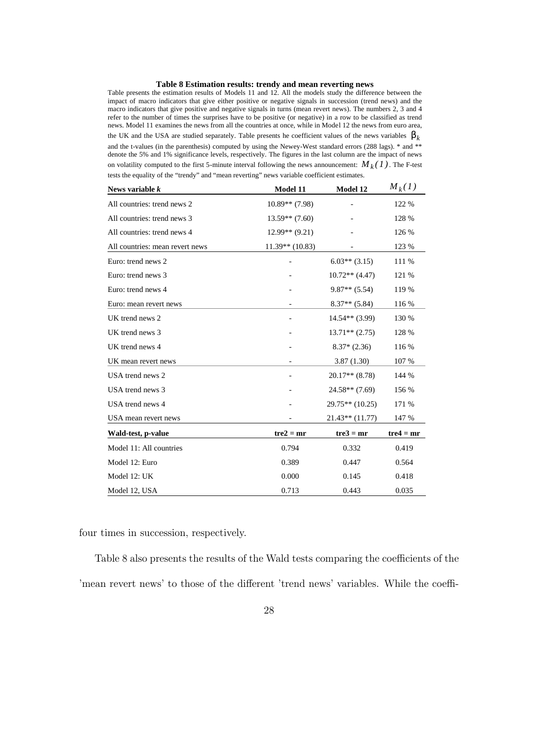### **Table 8 Estimation results: trendy and mean reverting news**

Table presents the estimation results of Models 11 and 12. All the models study the difference between the impact of macro indicators that give either positive or negative signals in succession (trend news) and the macro indicators that give positive and negative signals in turns (mean revert news). The numbers 2, 3 and 4 refer to the number of times the surprises have to be positive (or negative) in a row to be classified as trend news. Model 11 examines the news from all the countries at once, while in Model 12 the news from euro area, the UK and the USA are studied separately. Table presents he coefficient values of the news variables  $\beta_k$ and the t-values (in the parenthesis) computed by using the Newey-West standard errors (288 lags). \* and \*\* denote the 5% and 1% significance levels, respectively. The figures in the last column are the impact of news on volatility computed to the first 5-minute interval following the news announcement:  $M_k(1)$ . The F-test tests the equality of the "trendy" and "mean reverting" news variable coefficient estimates.

| News variable $k$               | Model 11                 | Model 12          | $M_k(1)$    |
|---------------------------------|--------------------------|-------------------|-------------|
| All countries: trend news 2     | $10.89**$ (7.98)         |                   | 122 %       |
| All countries: trend news 3     | $13.59**$ (7.60)         |                   | 128 %       |
| All countries: trend news 4     | $12.99**$ (9.21)         |                   | 126 %       |
| All countries: mean revert news | $11.39**$ (10.83)        |                   | 123 %       |
| Euro: trend news 2              |                          | $6.03**$ (3.15)   | 111 %       |
| Euro: trend news 3              |                          | $10.72**$ (4.47)  | 121 %       |
| Euro: trend news 4              |                          | $9.87**$ (5.54)   | 119 %       |
| Euro: mean revert news          |                          | $8.37**$ (5.84)   | 116 %       |
| UK trend news 2                 |                          | $14.54**$ (3.99)  | 130 %       |
| UK trend news 3                 |                          | $13.71**$ (2.75)  | 128 %       |
| UK trend news 4                 |                          | $8.37*(2.36)$     | 116 %       |
| UK mean revert news             |                          | 3.87(1.30)        | 107 %       |
| USA trend news 2                | $\overline{\phantom{a}}$ | $20.17**$ (8.78)  | 144 %       |
| USA trend news 3                |                          | $24.58**$ (7.69)  | 156 %       |
| USA trend news 4                |                          | $29.75**$ (10.25) | 171 %       |
| USA mean revert news            |                          | $21.43**$ (11.77) | 147 %       |
| Wald-test, p-value              | $tre2 = mr$              | $tre3 = mr$       | $tre4 = mr$ |
| Model 11: All countries         | 0.794                    | 0.332             | 0.419       |
| Model 12: Euro                  | 0.389                    | 0.447             | 0.564       |
| Model 12: UK                    | 0.000                    | 0.145             | 0.418       |
| Model 12, USA                   | 0.713                    | 0.443             | 0.035       |

four times in succession, respectively.

Table 8 also presents the results of the Wald tests comparing the coefficients of the 'mean revert news' to those of the different 'trend news' variables. While the coeffi-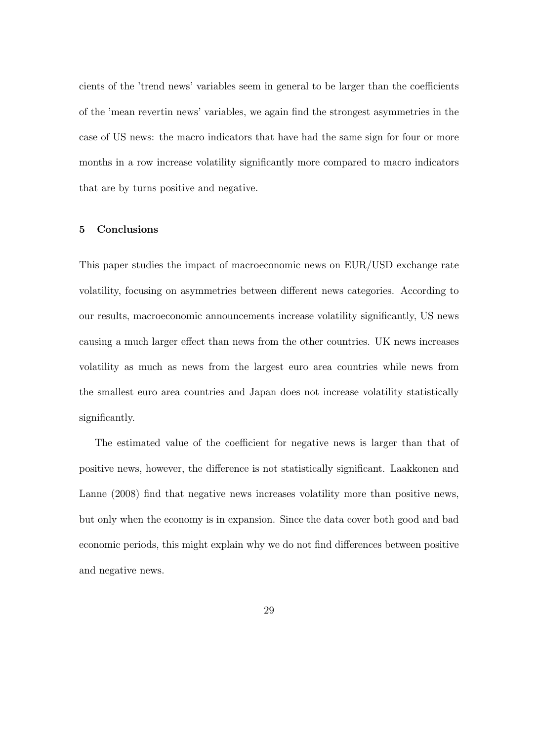cients of the 'trend news' variables seem in general to be larger than the coefficients of the 'mean revertin news' variables, we again find the strongest asymmetries in the case of US news: the macro indicators that have had the same sign for four or more months in a row increase volatility signicantly more compared to macro indicators that are by turns positive and negative.

### 5 Conclusions

This paper studies the impact of macroeconomic news on EUR/USD exchange rate volatility, focusing on asymmetries between different news categories. According to our results, macroeconomic announcements increase volatility signicantly, US news causing a much larger effect than news from the other countries. UK news increases volatility as much as news from the largest euro area countries while news from the smallest euro area countries and Japan does not increase volatility statistically signicantly.

The estimated value of the coefficient for negative news is larger than that of positive news, however, the difference is not statistically significant. Laakkonen and Lanne (2008) find that negative news increases volatility more than positive news, but only when the economy is in expansion. Since the data cover both good and bad economic periods, this might explain why we do not find differences between positive and negative news.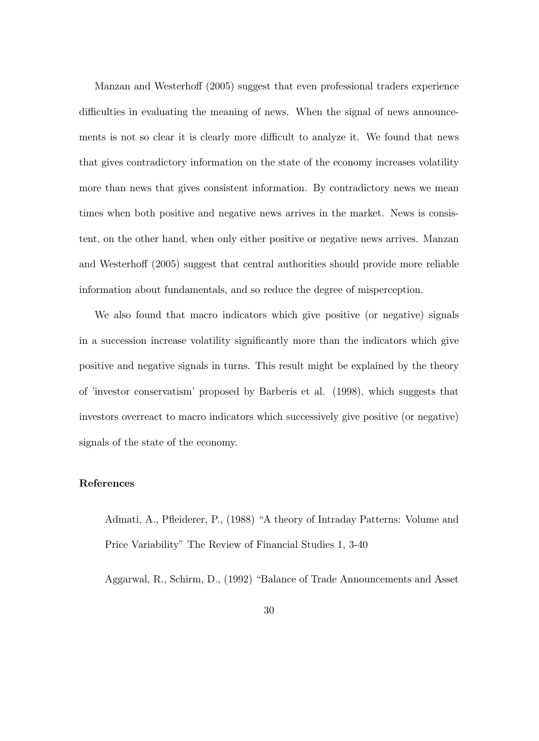Manzan and Westerhoff (2005) suggest that even professional traders experience difficulties in evaluating the meaning of news. When the signal of news announcements is not so clear it is clearly more difficult to analyze it. We found that news that gives contradictory information on the state of the economy increases volatility more than news that gives consistent information. By contradictory news we mean times when both positive and negative news arrives in the market. News is consistent, on the other hand, when only either positive or negative news arrives. Manzan and Westerhoff (2005) suggest that central authorities should provide more reliable information about fundamentals, and so reduce the degree of misperception.

We also found that macro indicators which give positive (or negative) signals in a succession increase volatility signicantly more than the indicators which give positive and negative signals in turns. This result might be explained by the theory of 'investor conservatism' proposed by Barberis et al. (1998), which suggests that investors overreact to macro indicators which successively give positive (or negative) signals of the state of the economy.

### References

Admati, A., Pfleiderer, P., (1988) "A theory of Intraday Patterns: Volume and Price Variability" The Review of Financial Studies 1, 3-40

Aggarwal, R., Schirm, D., (1992) "Balance of Trade Announcements and Asset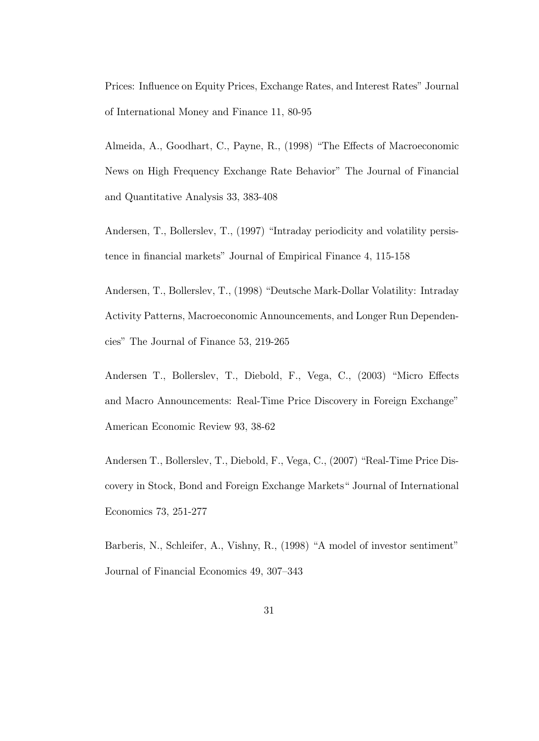Prices: Influence on Equity Prices, Exchange Rates, and Interest Rates" Journal of International Money and Finance 11, 80-95

Almeida, A., Goodhart, C., Payne, R., (1998) "The Effects of Macroeconomic News on High Frequency Exchange Rate Behavior" The Journal of Financial and Quantitative Analysis 33, 383-408

Andersen, T., Bollerslev, T., (1997) "Intraday periodicity and volatility persistence in financial markets" Journal of Empirical Finance 4, 115-158

Andersen, T., Bollerslev, T., (1998) "Deutsche Mark-Dollar Volatility: Intraday Activity Patterns, Macroeconomic Announcements, and Longer Run Dependencies" The Journal of Finance 53, 219-265

Andersen T., Bollerslev, T., Diebold, F., Vega, C., (2003) "Micro Effects and Macro Announcements: Real-Time Price Discovery in Foreign Exchange" American Economic Review 93, 38-62

Andersen T., Bollerslev, T., Diebold, F., Vega, C., (2007) "Real-Time Price Discovery in Stock, Bond and Foreign Exchange Markets\ Journal of International Economics 73, 251-277

Barberis, N., Schleifer, A., Vishny, R., (1998) "A model of investor sentiment" Journal of Financial Economics 49, 307-343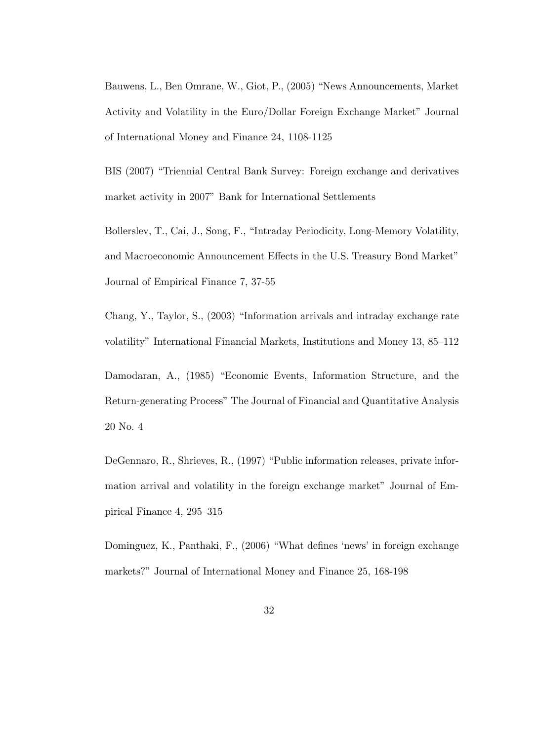Bauwens, L., Ben Omrane, W., Giot, P., (2005) "News Announcements, Market Activity and Volatility in the Euro/Dollar Foreign Exchange Market" Journal of International Money and Finance 24, 1108-1125

BIS (2007) "Triennial Central Bank Survey: Foreign exchange and derivatives market activity in 2007" Bank for International Settlements

Bollerslev, T., Cai, J., Song, F., \Intraday Periodicity, Long-Memory Volatility, and Macroeconomic Announcement Effects in the U.S. Treasury Bond Market" Journal of Empirical Finance 7, 37-55

Chang, Y., Taylor, S., (2003) \Information arrivals and intraday exchange rate volatility" International Financial Markets, Institutions and Money 13, 85-112

Damodaran, A., (1985) "Economic Events, Information Structure, and the Return-generating Process" The Journal of Financial and Quantitative Analysis 20 No. 4

DeGennaro, R., Shrieves, R., (1997) "Public information releases, private information arrival and volatility in the foreign exchange market" Journal of Empirical Finance 4,  $295-315$ 

Dominguez, K., Panthaki, F., (2006) "What defines 'news' in foreign exchange markets?" Journal of International Money and Finance 25, 168-198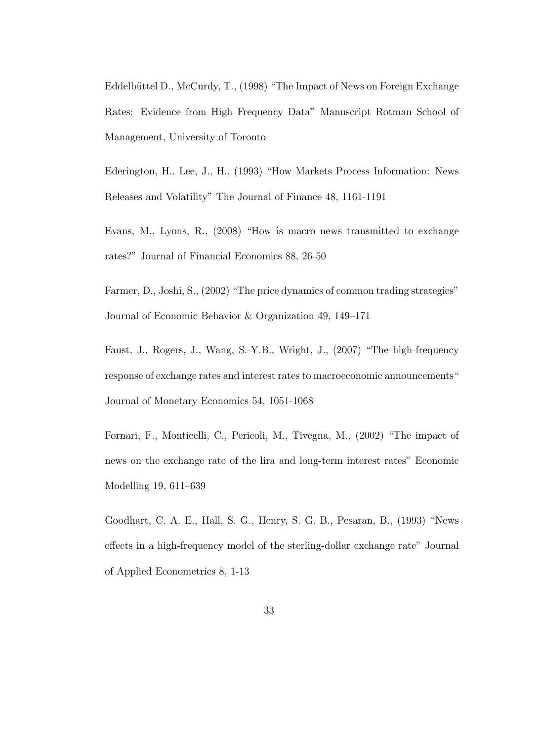Eddelbüttel D., McCurdy, T., (1998) "The Impact of News on Foreign Exchange Rates: Evidence from High Frequency Data" Manuscript Rotman School of Management, University of Toronto

Ederington, H., Lee, J., H., (1993) "How Markets Process Information: News Releases and Volatility" The Journal of Finance 48, 1161-1191

Evans, M., Lyons, R.,  $(2008)$  "How is macro news transmitted to exchange rates?" Journal of Financial Economics 88, 26-50

Farmer, D., Joshi, S., (2002) "The price dynamics of common trading strategies" Journal of Economic Behavior  $&$  Organization 49, 149-171

Faust, J., Rogers, J., Wang, S.-Y.B., Wright, J., (2007) \The high-frequency response of exchange rates and interest rates to macroeconomic announcements<sup>"</sup> Journal of Monetary Economics 54, 1051-1068

Fornari, F., Monticelli, C., Pericoli, M., Tivegna, M., (2002) "The impact of news on the exchange rate of the lira and long-term interest rates" Economic Modelling  $19, 611-639$ 

Goodhart, C. A. E., Hall, S. G., Henry, S. G. B., Pesaran, B., (1993) "News effects in a high-frequency model of the sterling-dollar exchange rate" Journal of Applied Econometrics 8, 1-13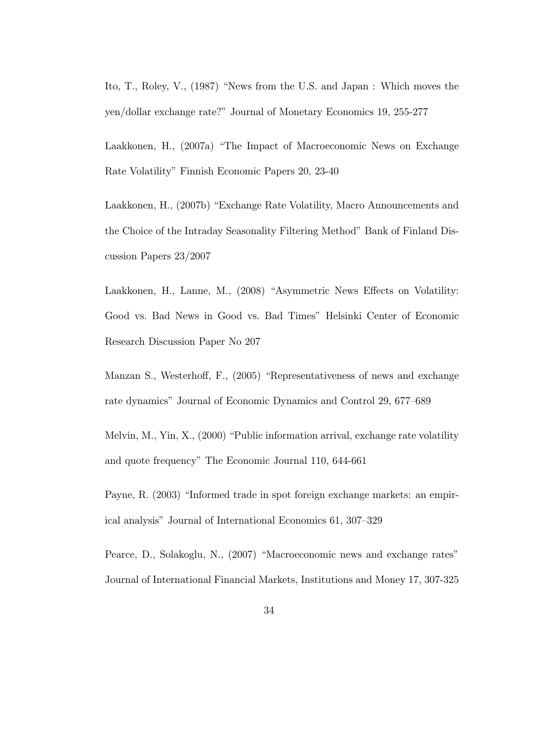Ito, T., Roley, V., (1987) \News from the U.S. and Japan : Which moves the yen/dollar exchange rate?" Journal of Monetary Economics 19, 255-277

Laakkonen, H., (2007a) "The Impact of Macroeconomic News on Exchange Rate Volatility" Finnish Economic Papers 20, 23-40

Laakkonen, H., (2007b) "Exchange Rate Volatility, Macro Announcements and the Choice of the Intraday Seasonality Filtering Method" Bank of Finland Discussion Papers 23/2007

Laakkonen, H., Lanne, M.,  $(2008)$  "Asymmetric News Effects on Volatility: Good vs. Bad News in Good vs. Bad Times" Helsinki Center of Economic Research Discussion Paper No 207

Manzan S., Westerhoff, F., (2005) "Representativeness of news and exchange rate dynamics" Journal of Economic Dynamics and Control 29, 677-689

Melvin, M., Yin, X., (2000) "Public information arrival, exchange rate volatility and quote frequency" The Economic Journal 110, 644-661

Payne, R. (2003) "Informed trade in spot foreign exchange markets: an empirical analysis" Journal of International Economics 61, 307-329

Pearce, D., Solakoglu, N., (2007) "Macroeconomic news and exchange rates" Journal of International Financial Markets, Institutions and Money 17, 307-325